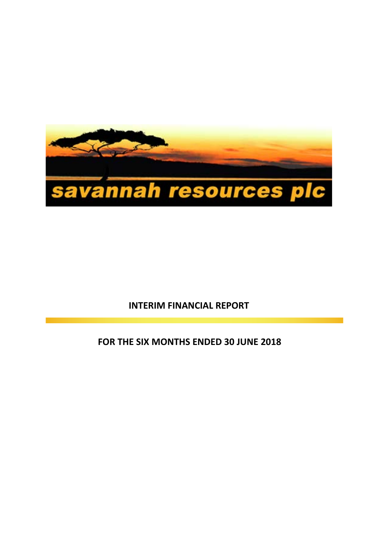

# **INTERIM FINANCIAL REPORT**

## **FOR THE SIX MONTHS ENDED 30 JUNE 2018**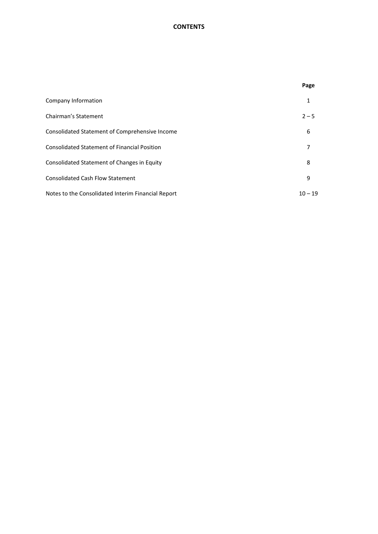## **CONTENTS**

|                                                     | Page      |
|-----------------------------------------------------|-----------|
| Company Information                                 | 1         |
| Chairman's Statement                                | $2 - 5$   |
| Consolidated Statement of Comprehensive Income      | 6         |
| <b>Consolidated Statement of Financial Position</b> | 7         |
| Consolidated Statement of Changes in Equity         | 8         |
| <b>Consolidated Cash Flow Statement</b>             | 9         |
| Notes to the Consolidated Interim Financial Report  | $10 - 19$ |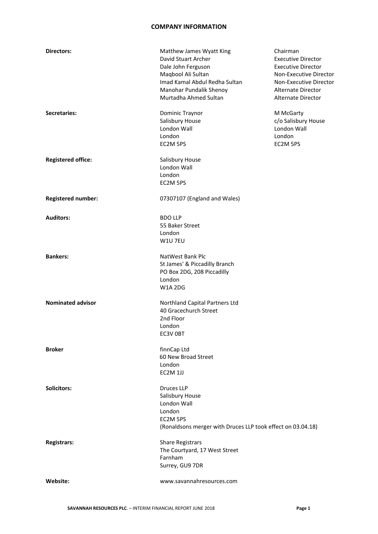#### **COMPANY INFORMATION**

| <b>Directors:</b>         | Matthew James Wyatt King<br>David Stuart Archer<br>Dale John Ferguson<br>Maqbool Ali Sultan<br>Imad Kamal Abdul Redha Sultan<br>Manohar Pundalik Shenoy<br>Murtadha Ahmed Sultan | Chairman<br><b>Executive Director</b><br><b>Executive Director</b><br>Non-Executive Director<br>Non-Executive Director<br>Alternate Director<br>Alternate Director |
|---------------------------|----------------------------------------------------------------------------------------------------------------------------------------------------------------------------------|--------------------------------------------------------------------------------------------------------------------------------------------------------------------|
| <b>Secretaries:</b>       | Dominic Traynor<br>Salisbury House<br>London Wall<br>London<br>EC2M 5PS                                                                                                          | M McGarty<br>c/o Salisbury House<br>London Wall<br>London<br>EC2M 5PS                                                                                              |
| <b>Registered office:</b> | Salisbury House<br>London Wall<br>London<br>EC2M 5PS                                                                                                                             |                                                                                                                                                                    |
| <b>Registered number:</b> | 07307107 (England and Wales)                                                                                                                                                     |                                                                                                                                                                    |
| <b>Auditors:</b>          | <b>BDO LLP</b><br>55 Baker Street<br>London<br>W1U 7EU                                                                                                                           |                                                                                                                                                                    |
| <b>Bankers:</b>           | NatWest Bank Plc<br>St James' & Piccadilly Branch<br>PO Box 2DG, 208 Piccadilly<br>London<br><b>W1A 2DG</b>                                                                      |                                                                                                                                                                    |
| <b>Nominated advisor</b>  | Northland Capital Partners Ltd<br>40 Gracechurch Street<br>2nd Floor<br>London<br>EC3V OBT                                                                                       |                                                                                                                                                                    |
| <b>Broker</b>             | finnCap Ltd<br>60 New Broad Street<br>London<br>EC2M 1JJ                                                                                                                         |                                                                                                                                                                    |
| <b>Solicitors:</b>        | <b>Druces LLP</b><br>Salisbury House<br><b>London Wall</b><br>London<br>EC2M 5PS<br>(Ronaldsons merger with Druces LLP took effect on 03.04.18)                                  |                                                                                                                                                                    |
| <b>Registrars:</b>        | <b>Share Registrars</b><br>The Courtyard, 17 West Street<br>Farnham<br>Surrey, GU9 7DR                                                                                           |                                                                                                                                                                    |
| Website:                  | www.savannahresources.com                                                                                                                                                        |                                                                                                                                                                    |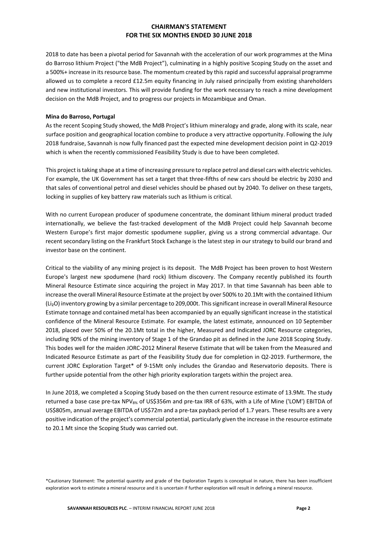2018 to date has been a pivotal period for Savannah with the acceleration of our work programmes at the Mina do Barroso lithium Project ("the MdB Project"), culminating in a highly positive Scoping Study on the asset and a 500%+ increase in its resource base. The momentum created by this rapid and successful appraisal programme allowed us to complete a record £12.5m equity financing in July raised principally from existing shareholders and new institutional investors. This will provide funding for the work necessary to reach a mine development decision on the MdB Project, and to progress our projects in Mozambique and Oman.

#### **Mina do Barroso, Portugal**

As the recent Scoping Study showed, the MdB Project's lithium mineralogy and grade, along with its scale, near surface position and geographical location combine to produce a very attractive opportunity. Following the July 2018 fundraise, Savannah is now fully financed past the expected mine development decision point in Q2-2019 which is when the recently commissioned Feasibility Study is due to have been completed.

This project istaking shape at a time of increasing pressure to replace petrol and diesel cars with electric vehicles. For example, the UK Government has set a target that three-fifths of new cars should be electric by 2030 and that sales of conventional petrol and diesel vehicles should be phased out by 2040. To deliver on these targets, locking in supplies of key battery raw materials such as lithium is critical.

With no current European producer of spodumene concentrate, the dominant lithium mineral product traded internationally, we believe the fast-tracked development of the MdB Project could help Savannah become Western Europe's first major domestic spodumene supplier, giving us a strong commercial advantage. Our recent secondary listing on the Frankfurt Stock Exchange is the latest step in our strategy to build our brand and investor base on the continent.

Critical to the viability of any mining project is its deposit. The MdB Project has been proven to host Western Europe's largest new spodumene (hard rock) lithium discovery. The Company recently published its fourth Mineral Resource Estimate since acquiring the project in May 2017. In that time Savannah has been able to increase the overall Mineral Resource Estimate at the project by over 500% to 20.1Mt with the contained lithium (Li₂O) inventory growing by a similar percentage to 209,000t. Thissignificant increase in overall Mineral Resource Estimate tonnage and contained metal has been accompanied by an equally significant increase in the statistical confidence of the Mineral Resource Estimate. For example, the latest estimate, announced on 10 September 2018, placed over 50% of the 20.1Mt total in the higher, Measured and Indicated JORC Resource categories, including 90% of the mining inventory of Stage 1 of the Grandao pit as defined in the June 2018 Scoping Study. This bodes well for the maiden JORC-2012 Mineral Reserve Estimate that will be taken from the Measured and Indicated Resource Estimate as part of the Feasibility Study due for completion in Q2-2019. Furthermore, the current JORC Exploration Target\* of 9-15Mt only includes the Grandao and Reservatorio deposits. There is further upside potential from the other high priority exploration targets within the project area.

In June 2018, we completed a Scoping Study based on the then current resource estimate of 13.9Mt. The study returned a base case pre-tax NPV<sub>8%</sub> of US\$356m and pre-tax IRR of 63%, with a Life of Mine ('LOM') EBITDA of US\$805m, annual average EBITDA of US\$72m and a pre-tax payback period of 1.7 years. These results are a very positive indication of the project's commercial potential, particularly given the increase in the resource estimate to 20.1 Mt since the Scoping Study was carried out.

\*Cautionary Statement: The potential quantity and grade of the Exploration Targets is conceptual in nature, there has been insufficient exploration work to estimate a mineral resource and it is uncertain if further exploration will result in defining a mineral resource.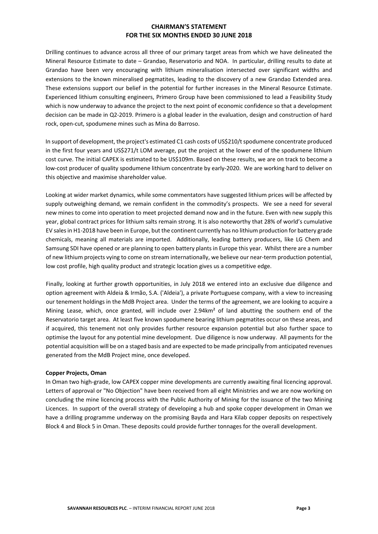Drilling continues to advance across all three of our primary target areas from which we have delineated the Mineral Resource Estimate to date – Grandao, Reservatorio and NOA. In particular, drilling results to date at Grandao have been very encouraging with lithium mineralisation intersected over significant widths and extensions to the known mineralised pegmatites, leading to the discovery of a new Grandao Extended area. These extensions support our belief in the potential for further increases in the Mineral Resource Estimate. Experienced lithium consulting engineers, Primero Group have been commissioned to lead a Feasibility Study which is now underway to advance the project to the next point of economic confidence so that a development decision can be made in Q2-2019. Primero is a global leader in the evaluation, design and construction of hard rock, open-cut, spodumene mines such as Mina do Barroso.

In support of development, the project's estimated C1 cash costs of US\$210/t spodumene concentrate produced in the first four years and US\$271/t LOM average, put the project at the lower end of the spodumene lithium cost curve. The initial CAPEX is estimated to be US\$109m. Based on these results, we are on track to become a low-cost producer of quality spodumene lithium concentrate by early-2020. We are working hard to deliver on this objective and maximise shareholder value.

Looking at wider market dynamics, while some commentators have suggested lithium prices will be affected by supply outweighing demand, we remain confident in the commodity's prospects. We see a need for several new mines to come into operation to meet projected demand now and in the future. Even with new supply this year, global contract prices for lithium salts remain strong. It is also noteworthy that 28% of world's cumulative EV salesin H1-2018 have been in Europe, but the continent currently has no lithium production for battery grade chemicals, meaning all materials are imported. Additionally, leading battery producers, like LG Chem and Samsung SDI have opened or are planning to open battery plants in Europe this year. Whilst there are a number of new lithium projects vying to come on stream internationally, we believe our near-term production potential, low cost profile, high quality product and strategic location gives us a competitive edge.

Finally, looking at further growth opportunities, in July 2018 we entered into an exclusive due diligence and option agreement with Aldeia & Irmão, S.A. ('Aldeia'), a private Portuguese company, with a view to increasing our tenement holdings in the MdB Project area. Under the terms of the agreement, we are looking to acquire a Mining Lease, which, once granted, will include over 2.94km² of land abutting the southern end of the Reservatorio target area. At least five known spodumene bearing lithium pegmatites occur on these areas, and if acquired, this tenement not only provides further resource expansion potential but also further space to optimise the layout for any potential mine development. Due diligence is now underway. All payments for the potential acquisition will be on a staged basis and are expected to be made principally from anticipated revenues generated from the MdB Project mine, once developed.

#### **Copper Projects, Oman**

In Oman two high-grade, low CAPEX copper mine developments are currently awaiting final licencing approval. Letters of approval or "No Objection" have been received from all eight Ministries and we are now working on concluding the mine licencing process with the Public Authority of Mining for the issuance of the two Mining Licences. In support of the overall strategy of developing a hub and spoke copper development in Oman we have a drilling programme underway on the promising Bayda and Hara Kilab copper deposits on respectively Block 4 and Block 5 in Oman. These deposits could provide further tonnages for the overall development.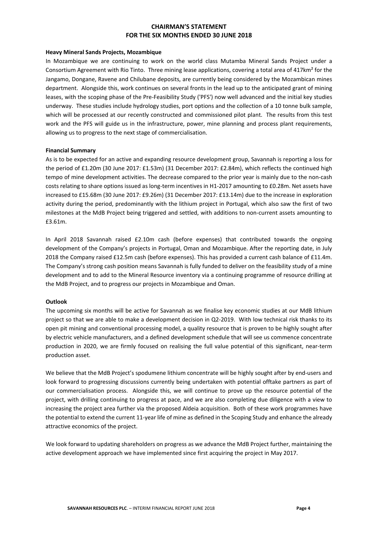#### **Heavy Mineral Sands Projects, Mozambique**

In Mozambique we are continuing to work on the world class Mutamba Mineral Sands Project under a Consortium Agreement with Rio Tinto. Three mining lease applications, covering a total area of 417km² for the Jangamo, Dongane, Ravene and Chilubane deposits, are currently being considered by the Mozambican mines department. Alongside this, work continues on several fronts in the lead up to the anticipated grant of mining leases, with the scoping phase of the Pre-Feasibility Study ('PFS') now well advanced and the initial key studies underway. These studies include hydrology studies, port options and the collection of a 10 tonne bulk sample, which will be processed at our recently constructed and commissioned pilot plant. The results from this test work and the PFS will guide us in the infrastructure, power, mine planning and process plant requirements, allowing us to progress to the next stage of commercialisation.

#### **Financial Summary**

As is to be expected for an active and expanding resource development group, Savannah is reporting a loss for the period of £1.20m (30 June 2017: £1.53m) (31 December 2017: £2.84m), which reflects the continued high tempo of mine development activities. The decrease compared to the prior year is mainly due to the non-cash costs relating to share options issued as long-term incentives in H1-2017 amounting to £0.28m. Net assets have increased to £15.68m (30 June 2017: £9.26m) (31 December 2017: £13.14m) due to the increase in exploration activity during the period, predominantly with the lithium project in Portugal, which also saw the first of two milestones at the MdB Project being triggered and settled, with additions to non-current assets amounting to £3.61m.

In April 2018 Savannah raised £2.10m cash (before expenses) that contributed towards the ongoing development of the Company's projects in Portugal, Oman and Mozambique. After the reporting date, in July 2018 the Company raised £12.5m cash (before expenses). This has provided a current cash balance of £11.4m. The Company's strong cash position means Savannah is fully funded to deliver on the feasibility study of a mine development and to add to the Mineral Resource inventory via a continuing programme of resource drilling at the MdB Project, and to progress our projects in Mozambique and Oman.

## **Outlook**

The upcoming six months will be active for Savannah as we finalise key economic studies at our MdB lithium project so that we are able to make a development decision in Q2-2019. With low technical risk thanks to its open pit mining and conventional processing model, a quality resource that is proven to be highly sought after by electric vehicle manufacturers, and a defined development schedule that will see us commence concentrate production in 2020, we are firmly focused on realising the full value potential of this significant, near-term production asset.

We believe that the MdB Project's spodumene lithium concentrate will be highly sought after by end-users and look forward to progressing discussions currently being undertaken with potential offtake partners as part of our commercialisation process. Alongside this, we will continue to prove up the resource potential of the project, with drilling continuing to progress at pace, and we are also completing due diligence with a view to increasing the project area further via the proposed Aldeia acquisition. Both of these work programmes have the potential to extend the current 11-year life of mine as defined in the Scoping Study and enhance the already attractive economics of the project.

We look forward to updating shareholders on progress as we advance the MdB Project further, maintaining the active development approach we have implemented since first acquiring the project in May 2017.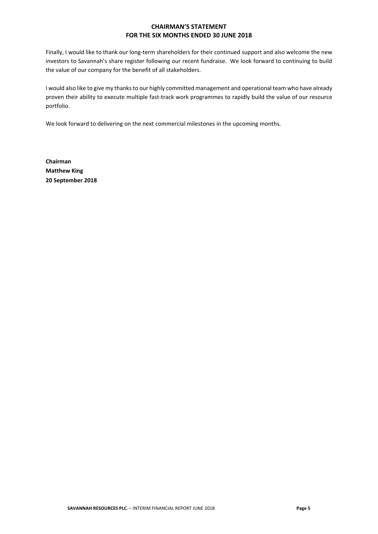Finally, I would like to thank our long-term shareholders for their continued support and also welcome the new investors to Savannah's share register following our recent fundraise. We look forward to continuing to build the value of our company for the benefit of all stakeholders.

I would also like to give my thanks to our highly committed management and operational team who have already proven their ability to execute multiple fast-track work programmes to rapidly build the value of our resource portfolio.

We look forward to delivering on the next commercial milestones in the upcoming months.

**Chairman Matthew King 20 September 2018**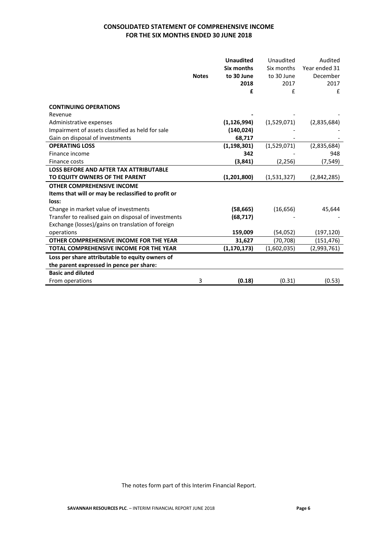## **CONSOLIDATED STATEMENT OF COMPREHENSIVE INCOME FOR THE SIX MONTHS ENDED 30 JUNE 2018**

|                                                      |              | <b>Unaudited</b>  | Unaudited   | Audited       |
|------------------------------------------------------|--------------|-------------------|-------------|---------------|
|                                                      |              | <b>Six months</b> | Six months  | Year ended 31 |
|                                                      | <b>Notes</b> | to 30 June        | to 30 June  | December      |
|                                                      |              | 2018              | 2017        | 2017          |
|                                                      |              | £                 | £           | £             |
|                                                      |              |                   |             |               |
| <b>CONTINUING OPERATIONS</b>                         |              |                   |             |               |
| Revenue                                              |              |                   |             |               |
| Administrative expenses                              |              | (1, 126, 994)     | (1,529,071) | (2,835,684)   |
| Impairment of assets classified as held for sale     |              | (140, 024)        |             |               |
| Gain on disposal of investments                      |              | 68,717            |             |               |
| <b>OPERATING LOSS</b>                                |              | (1, 198, 301)     | (1,529,071) | (2,835,684)   |
| Finance income                                       |              | 342               |             | 948           |
| Finance costs                                        |              | (3, 841)          | (2, 256)    | (7, 549)      |
| <b>LOSS BEFORE AND AFTER TAX ATTRIBUTABLE</b>        |              |                   |             |               |
| TO EQUITY OWNERS OF THE PARENT                       |              | (1, 201, 800)     | (1,531,327) | (2,842,285)   |
| <b>OTHER COMPREHENSIVE INCOME</b>                    |              |                   |             |               |
| Items that will or may be reclassified to profit or  |              |                   |             |               |
| loss:                                                |              |                   |             |               |
| Change in market value of investments                |              | (58, 665)         | (16, 656)   | 45,644        |
| Transfer to realised gain on disposal of investments |              | (68, 717)         |             |               |
| Exchange (losses)/gains on translation of foreign    |              |                   |             |               |
| operations                                           |              | 159,009           | (54,052)    | (197, 120)    |
| OTHER COMPREHENSIVE INCOME FOR THE YEAR              |              | 31,627            | (70, 708)   | (151, 476)    |
| <b>TOTAL COMPREHENSIVE INCOME FOR THE YEAR</b>       |              | (1, 170, 173)     | (1,602,035) | (2,993,761)   |
| Loss per share attributable to equity owners of      |              |                   |             |               |
| the parent expressed in pence per share:             |              |                   |             |               |
| <b>Basic and diluted</b>                             |              |                   |             |               |
| From operations                                      | 3            | (0.18)            | (0.31)      | (0.53)        |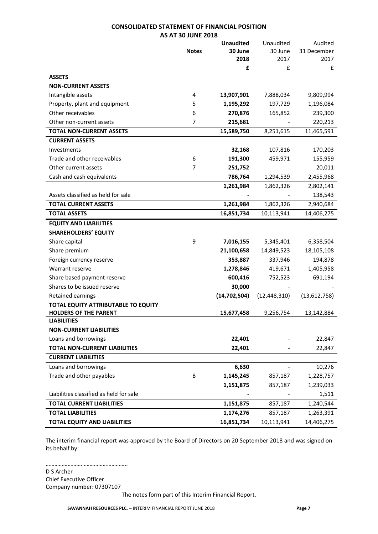#### **CONSOLIDATED STATEMENT OF FINANCIAL POSITION AS AT 30 JUNE 2018**

|                                         |              | <b>Unaudited</b> | Unaudited      | Audited      |
|-----------------------------------------|--------------|------------------|----------------|--------------|
|                                         | <b>Notes</b> | 30 June          | 30 June        | 31 December  |
|                                         |              | 2018             | 2017           | 2017         |
|                                         |              | £                | £              | £            |
| <b>ASSETS</b>                           |              |                  |                |              |
| <b>NON-CURRENT ASSETS</b>               |              |                  |                |              |
| Intangible assets                       | 4            | 13,907,901       | 7,888,034      | 9,809,994    |
| Property, plant and equipment           | 5            | 1,195,292        | 197,729        | 1,196,084    |
| Other receivables                       | 6            | 270,876          | 165,852        | 239,300      |
| Other non-current assets                | 7            | 215,681          |                | 220,213      |
| <b>TOTAL NON-CURRENT ASSETS</b>         |              | 15,589,750       | 8,251,615      | 11,465,591   |
| <b>CURRENT ASSETS</b>                   |              |                  |                |              |
| Investments                             |              | 32,168           | 107,816        | 170,203      |
| Trade and other receivables             | 6            | 191,300          | 459,971        | 155,959      |
| Other current assets                    | 7            | 251,752          |                | 20,011       |
| Cash and cash equivalents               |              | 786,764          | 1,294,539      | 2,455,968    |
|                                         |              | 1,261,984        | 1,862,326      | 2,802,141    |
| Assets classified as held for sale      |              |                  |                | 138,543      |
| <b>TOTAL CURRENT ASSETS</b>             |              | 1,261,984        | 1,862,326      | 2,940,684    |
| <b>TOTAL ASSETS</b>                     |              | 16,851,734       | 10,113,941     | 14,406,275   |
| <b>EQUITY AND LIABILITIES</b>           |              |                  |                |              |
| <b>SHAREHOLDERS' EQUITY</b>             |              |                  |                |              |
| Share capital                           | 9            | 7,016,155        | 5,345,401      | 6,358,504    |
| Share premium                           |              | 21,100,658       | 14,849,523     | 18,105,108   |
| Foreign currency reserve                |              | 353,887          | 337,946        | 194,878      |
| Warrant reserve                         |              | 1,278,846        | 419,671        | 1,405,958    |
| Share based payment reserve             |              | 600,416          | 752,523        | 691,194      |
| Shares to be issued reserve             |              | 30,000           |                |              |
| Retained earnings                       |              | (14, 702, 504)   | (12, 448, 310) | (13,612,758) |
| TOTAL EQUITY ATTRIBUTABLE TO EQUITY     |              |                  |                |              |
| <b>HOLDERS OF THE PARENT</b>            |              | 15,677,458       | 9,256,754      | 13,142,884   |
| <b>LIABILITIES</b>                      |              |                  |                |              |
| <b>NON-CURRENT LIABILITIES</b>          |              |                  |                |              |
| Loans and borrowings                    |              | 22,401           |                | 22,847       |
| <b>TOTAL NON-CURRENT LIABILITIES</b>    |              | 22,401           |                | 22,847       |
| <b>CURRENT LIABILITIES</b>              |              |                  |                |              |
| Loans and borrowings                    |              | 6,630            |                | 10,276       |
| Trade and other payables                | 8            | 1,145,245        | 857,187        | 1,228,757    |
|                                         |              | 1,151,875        | 857,187        | 1,239,033    |
| Liabilities classified as held for sale |              |                  |                | 1,511        |
| <b>TOTAL CURRENT LIABILITIES</b>        |              | 1,151,875        | 857,187        | 1,240,544    |
| <b>TOTAL LIABILITIES</b>                |              | 1,174,276        | 857,187        | 1,263,391    |
| <b>TOTAL EQUITY AND LIABILITIES</b>     |              | 16,851,734       | 10,113,941     | 14,406,275   |

The interim financial report was approved by the Board of Directors on 20 September 2018 and was signed on its behalf by:

……………………………………………….. D S Archer Chief Executive Officer Company number: 07307107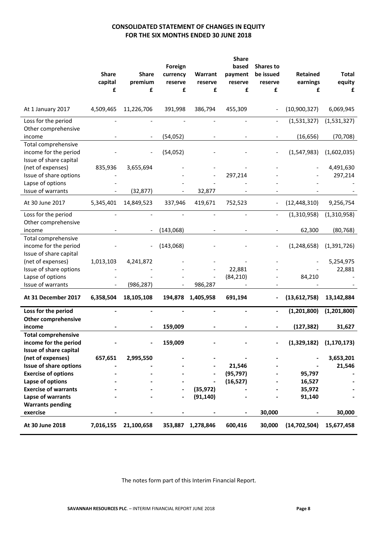## **CONSOLIDATED STATEMENT OF CHANGES IN EQUITY FOR THE SIX MONTHS ENDED 30 JUNE 2018**

|                                                                               | <b>Share</b><br>capital | <b>Share</b><br>premium | Foreign<br>currency<br>reserve | Warrant<br>reserve | <b>Share</b><br>based<br>payment<br>reserve | <b>Shares to</b><br>be issued<br>reserve | <b>Retained</b><br>earnings | <b>Total</b><br>equity |
|-------------------------------------------------------------------------------|-------------------------|-------------------------|--------------------------------|--------------------|---------------------------------------------|------------------------------------------|-----------------------------|------------------------|
|                                                                               | £                       | £                       | £                              | £                  | £                                           | £                                        | £                           | £                      |
| At 1 January 2017                                                             | 4,509,465               | 11,226,706              | 391,998                        | 386,794            | 455,309                                     |                                          | (10,900,327)                | 6,069,945              |
| Loss for the period<br>Other comprehensive                                    |                         |                         |                                |                    |                                             |                                          | (1,531,327)                 | (1,531,327)            |
| income                                                                        |                         |                         | (54, 052)                      |                    |                                             |                                          | (16, 656)                   | (70, 708)              |
| Total comprehensive<br>income for the period<br>Issue of share capital        |                         |                         | (54, 052)                      |                    |                                             |                                          | (1,547,983)                 | (1,602,035)            |
| (net of expenses)<br>Issue of share options                                   | 835,936                 | 3,655,694               |                                |                    | 297,214                                     |                                          |                             | 4,491,630              |
| Lapse of options                                                              |                         |                         |                                |                    |                                             |                                          |                             | 297,214                |
| Issue of warrants                                                             |                         | (32, 877)               |                                | 32,877             |                                             |                                          |                             |                        |
| At 30 June 2017                                                               | 5,345,401               | 14,849,523              | 337,946                        | 419,671            | 752,523                                     |                                          | (12, 448, 310)              | 9,256,754              |
| Loss for the period<br>Other comprehensive                                    |                         |                         |                                |                    |                                             |                                          | (1,310,958)                 | (1,310,958)            |
| income                                                                        |                         |                         | (143,068)                      |                    |                                             |                                          | 62,300                      | (80, 768)              |
| Total comprehensive<br>income for the period<br>Issue of share capital        |                         |                         | (143,068)                      |                    |                                             |                                          | (1, 248, 658)               | (1,391,726)            |
| (net of expenses)                                                             | 1,013,103               | 4,241,872               |                                |                    |                                             |                                          |                             | 5,254,975              |
| Issue of share options<br>Lapse of options                                    |                         |                         |                                |                    | 22,881<br>(84, 210)                         |                                          | 84,210                      | 22,881                 |
| Issue of warrants                                                             |                         | (986, 287)              |                                | 986,287            |                                             |                                          |                             |                        |
| At 31 December 2017                                                           | 6,358,504               | 18,105,108              | 194,878                        | 1,405,958          | 691,194                                     |                                          | (13,612,758)                | 13,142,884             |
| Loss for the period<br><b>Other comprehensive</b>                             |                         |                         |                                |                    |                                             |                                          | (1,201,800)                 | (1,201,800)            |
| income                                                                        |                         |                         | 159,009                        |                    |                                             |                                          | (127, 382)                  | 31,627                 |
| <b>Total comprehensive</b><br>income for the period<br>Issue of share capital |                         |                         | 159,009                        |                    |                                             |                                          | $(1,329,182)$ $(1,170,173)$ |                        |
| (net of expenses)                                                             | 657,651                 | 2,995,550               |                                |                    |                                             |                                          |                             | 3,653,201              |
| <b>Issue of share options</b>                                                 |                         |                         |                                |                    | 21,546                                      |                                          |                             | 21,546                 |
| <b>Exercise of options</b>                                                    |                         |                         |                                |                    | (95, 797)                                   |                                          | 95,797                      |                        |
| Lapse of options<br><b>Exercise of warrants</b>                               |                         |                         |                                | (35, 972)          | (16, 527)                                   |                                          | 16,527<br>35,972            |                        |
| Lapse of warrants                                                             |                         |                         |                                | (91, 140)          |                                             |                                          | 91,140                      |                        |
| <b>Warrants pending</b>                                                       |                         |                         |                                |                    |                                             |                                          |                             |                        |
| exercise                                                                      |                         |                         |                                |                    |                                             | 30,000                                   |                             | 30,000                 |
| At 30 June 2018                                                               | 7,016,155               | 21,100,658              | 353,887                        | 1,278,846          | 600,416                                     | 30,000                                   | (14, 702, 504)              | 15,677,458             |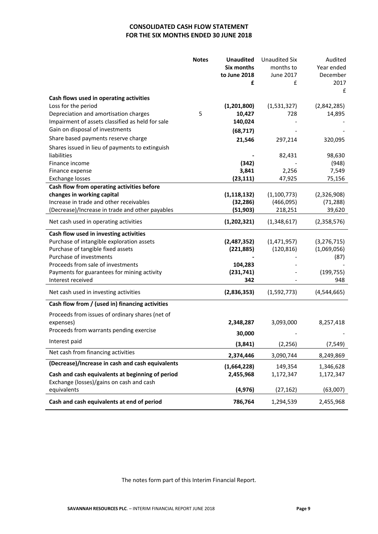## **CONSOLIDATED CASH FLOW STATEMENT FOR THE SIX MONTHS ENDED 30 JUNE 2018**

|                                                                                                                                                                                                                                                              | <b>Notes</b> | <b>Unaudited</b><br>Six months<br>to June 2018<br>£      | <b>Unaudited Six</b><br>months to<br>June 2017<br>£ | Audited<br>Year ended<br>December<br>2017<br>£            |
|--------------------------------------------------------------------------------------------------------------------------------------------------------------------------------------------------------------------------------------------------------------|--------------|----------------------------------------------------------|-----------------------------------------------------|-----------------------------------------------------------|
| Cash flows used in operating activities<br>Loss for the period<br>Depreciation and amortisation charges                                                                                                                                                      | 5            | (1,201,800)<br>10,427                                    | (1,531,327)<br>728                                  | (2,842,285)<br>14,895                                     |
| Impairment of assets classified as held for sale                                                                                                                                                                                                             |              | 140,024                                                  |                                                     |                                                           |
| Gain on disposal of investments                                                                                                                                                                                                                              |              | (68, 717)                                                |                                                     |                                                           |
| Share based payments reserve charge<br>Shares issued in lieu of payments to extinguish                                                                                                                                                                       |              | 21,546                                                   | 297,214                                             | 320,095                                                   |
| liabilities                                                                                                                                                                                                                                                  |              |                                                          | 82,431                                              | 98,630                                                    |
| Finance income                                                                                                                                                                                                                                               |              | (342)                                                    |                                                     | (948)                                                     |
| Finance expense                                                                                                                                                                                                                                              |              | 3,841                                                    | 2,256                                               | 7,549                                                     |
| <b>Exchange losses</b><br>Cash flow from operating activities before                                                                                                                                                                                         |              | (23, 111)                                                | 47,925                                              | 75,156                                                    |
| changes in working capital<br>Increase in trade and other receivables                                                                                                                                                                                        |              | (1, 118, 132)<br>(32, 286)                               | (1, 100, 773)<br>(466,095)                          | (2,326,908)<br>(71, 288)                                  |
| (Decrease)/Increase in trade and other payables                                                                                                                                                                                                              |              | (51, 903)                                                | 218,251                                             | 39,620                                                    |
| Net cash used in operating activities                                                                                                                                                                                                                        |              | (1, 202, 321)                                            | (1,348,617)                                         | (2,358,576)                                               |
| Cash flow used in investing activities<br>Purchase of intangible exploration assets<br>Purchase of tangible fixed assets<br>Purchase of investments<br>Proceeds from sale of investments<br>Payments for guarantees for mining activity<br>Interest received |              | (2,487,352)<br>(221, 885)<br>104,283<br>(231,741)<br>342 | (1,471,957)<br>(120, 816)                           | (3, 276, 715)<br>(1,069,056)<br>(87)<br>(199, 755)<br>948 |
| Net cash used in investing activities                                                                                                                                                                                                                        |              | (2,836,353)                                              | (1,592,773)                                         | (4,544,665)                                               |
| Cash flow from / (used in) financing activities                                                                                                                                                                                                              |              |                                                          |                                                     |                                                           |
| Proceeds from issues of ordinary shares (net of<br>expenses)<br>Proceeds from warrants pending exercise                                                                                                                                                      |              | 2,348,287                                                | 3,093,000                                           | 8,257,418                                                 |
| Interest paid                                                                                                                                                                                                                                                |              | 30,000                                                   |                                                     |                                                           |
|                                                                                                                                                                                                                                                              |              | (3, 841)                                                 | (2, 256)                                            | (7, 549)                                                  |
| Net cash from financing activities                                                                                                                                                                                                                           |              | 2,374,446                                                | 3,090,744                                           | 8,249,869                                                 |
| (Decrease)/Increase in cash and cash equivalents                                                                                                                                                                                                             |              | (1,664,228)                                              | 149,354                                             | 1,346,628                                                 |
| Cash and cash equivalents at beginning of period<br>Exchange (losses)/gains on cash and cash                                                                                                                                                                 |              | 2,455,968                                                | 1,172,347                                           | 1,172,347                                                 |
| equivalents                                                                                                                                                                                                                                                  |              | (4, 976)                                                 | (27, 162)                                           | (63,007)                                                  |
| Cash and cash equivalents at end of period                                                                                                                                                                                                                   |              | 786,764                                                  | 1,294,539                                           | 2,455,968                                                 |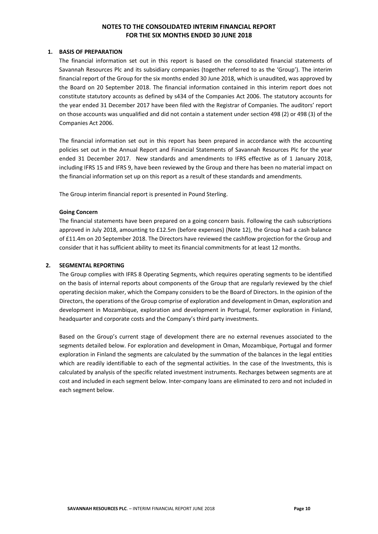#### **1. BASIS OF PREPARATION**

The financial information set out in this report is based on the consolidated financial statements of Savannah Resources Plc and its subsidiary companies (together referred to as the 'Group'). The interim financial report of the Group for the six months ended 30 June 2018, which is unaudited, was approved by the Board on 20 September 2018. The financial information contained in this interim report does not constitute statutory accounts as defined by s434 of the Companies Act 2006. The statutory accounts for the year ended 31 December 2017 have been filed with the Registrar of Companies. The auditors' report on those accounts was unqualified and did not contain a statement under section 498 (2) or 498 (3) of the Companies Act 2006.

The financial information set out in this report has been prepared in accordance with the accounting policies set out in the Annual Report and Financial Statements of Savannah Resources Plc for the year ended 31 December 2017. New standards and amendments to IFRS effective as of 1 January 2018, including IFRS 15 and IFRS 9, have been reviewed by the Group and there has been no material impact on the financial information set up on this report as a result of these standards and amendments.

The Group interim financial report is presented in Pound Sterling.

#### **Going Concern**

The financial statements have been prepared on a going concern basis. Following the cash subscriptions approved in July 2018, amounting to £12.5m (before expenses) (Note 12), the Group had a cash balance of £11.4m on 20 September 2018. The Directors have reviewed the cashflow projection for the Group and consider that it has sufficient ability to meet its financial commitments for at least 12 months.

#### **2. SEGMENTAL REPORTING**

The Group complies with IFRS 8 Operating Segments, which requires operating segments to be identified on the basis of internal reports about components of the Group that are regularly reviewed by the chief operating decision maker, which the Company considers to be the Board of Directors. In the opinion of the Directors, the operations of the Group comprise of exploration and development in Oman, exploration and development in Mozambique, exploration and development in Portugal, former exploration in Finland, headquarter and corporate costs and the Company's third party investments.

Based on the Group's current stage of development there are no external revenues associated to the segments detailed below. For exploration and development in Oman, Mozambique, Portugal and former exploration in Finland the segments are calculated by the summation of the balances in the legal entities which are readily identifiable to each of the segmental activities. In the case of the Investments, this is calculated by analysis of the specific related investment instruments. Recharges between segments are at cost and included in each segment below. Inter-company loans are eliminated to zero and not included in each segment below.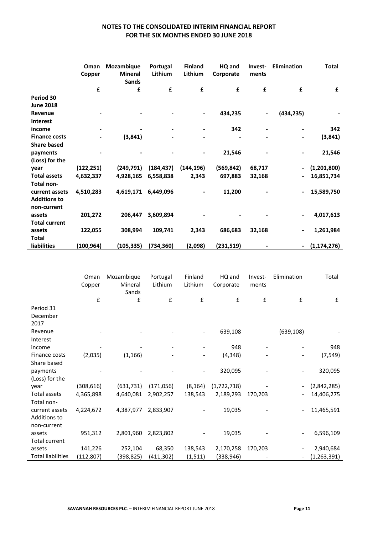|                      | Oman<br>Copper | Mozambique<br><b>Mineral</b><br><b>Sands</b> | Portugal<br>Lithium      | <b>Finland</b><br>Lithium | HQ and<br>Corporate | Invest-<br>ments | <b>Elimination</b>           | <b>Total</b>  |
|----------------------|----------------|----------------------------------------------|--------------------------|---------------------------|---------------------|------------------|------------------------------|---------------|
|                      | £              | £                                            | £                        | £                         | £                   | £                | £                            | £             |
| Period 30            |                |                                              |                          |                           |                     |                  |                              |               |
| <b>June 2018</b>     |                |                                              |                          |                           |                     |                  |                              |               |
| Revenue              | ۰              |                                              |                          | ۰                         | 434,235             | ۰.               | (434, 235)                   |               |
| <b>Interest</b>      |                |                                              |                          |                           |                     |                  |                              |               |
| income               |                |                                              | $\overline{\phantom{0}}$ |                           | 342                 |                  | $\blacksquare$               | 342           |
| <b>Finance costs</b> |                | (3, 841)                                     |                          |                           |                     |                  | ۰                            | (3, 841)      |
| <b>Share based</b>   |                |                                              |                          |                           |                     |                  |                              |               |
| payments             |                |                                              |                          |                           | 21,546              |                  | $\overline{\phantom{a}}$     | 21,546        |
| (Loss) for the       |                |                                              |                          |                           |                     |                  |                              |               |
| year                 | (122, 251)     | (249, 791)                                   | (184, 437)               | (144, 196)                | (569, 842)          | 68,717           | $\qquad \qquad \blacksquare$ | (1,201,800)   |
| <b>Total assets</b>  | 4,632,337      | 4,928,165                                    | 6,558,838                | 2,343                     | 697,883             | 32,168           | $\overline{\phantom{a}}$     | 16,851,734    |
| Total non-           |                |                                              |                          |                           |                     |                  |                              |               |
| current assets       | 4,510,283      | 4,619,171                                    | 6,449,096                |                           | 11,200              |                  | $\blacksquare$               | 15,589,750    |
| <b>Additions to</b>  |                |                                              |                          |                           |                     |                  |                              |               |
| non-current          |                |                                              |                          |                           |                     |                  |                              |               |
| assets               | 201,272        | 206,447                                      | 3,609,894                |                           |                     |                  | $\blacksquare$               | 4,017,613     |
| <b>Total current</b> |                |                                              |                          |                           |                     |                  |                              |               |
| assets               | 122,055        | 308,994                                      | 109,741                  | 2,343                     | 686,683             | 32,168           | ۰                            | 1,261,984     |
| <b>Total</b>         |                |                                              |                          |                           |                     |                  |                              |               |
| <b>liabilities</b>   | (100, 964)     | (105, 335)                                   | (734, 360)               | (2,098)                   | (231, 519)          |                  | ۰                            | (1, 174, 276) |

|                          | Oman<br>Copper | Mozambique<br>Mineral | Portugal<br>Lithium | Finland<br>Lithium | HQ and<br>Corporate | Invest-<br>ments | Elimination              | Total         |
|--------------------------|----------------|-----------------------|---------------------|--------------------|---------------------|------------------|--------------------------|---------------|
|                          |                | Sands                 |                     |                    |                     |                  |                          |               |
|                          | £              | £                     | £                   | £                  | £                   | £                | £                        | £             |
| Period 31                |                |                       |                     |                    |                     |                  |                          |               |
| December                 |                |                       |                     |                    |                     |                  |                          |               |
| 2017                     |                |                       |                     |                    |                     |                  |                          |               |
| Revenue                  |                |                       |                     |                    | 639,108             |                  | (639, 108)               |               |
| Interest                 |                |                       |                     |                    |                     |                  |                          |               |
| income                   |                |                       |                     |                    | 948                 |                  |                          | 948           |
| Finance costs            | (2,035)        | (1, 166)              |                     |                    | (4, 348)            |                  | -                        | (7, 549)      |
| Share based              |                |                       |                     |                    |                     |                  |                          |               |
| payments                 |                |                       |                     |                    | 320,095             |                  | $\overline{\phantom{0}}$ | 320,095       |
| (Loss) for the           |                |                       |                     |                    |                     |                  |                          |               |
| year                     | (308, 616)     | (631, 731)            | (171, 056)          | (8, 164)           | (1,722,718)         |                  | $\overline{\phantom{a}}$ | (2,842,285)   |
| Total assets             | 4,365,898      | 4,640,081             | 2,902,257           | 138,543            | 2,189,293           | 170,203          |                          | 14,406,275    |
| Total non-               |                |                       |                     |                    |                     |                  |                          |               |
| current assets           | 4,224,672      | 4,387,977             | 2,833,907           |                    | 19,035              |                  | $\overline{\phantom{0}}$ | 11,465,591    |
| Additions to             |                |                       |                     |                    |                     |                  |                          |               |
| non-current              |                |                       |                     |                    |                     |                  |                          |               |
| assets                   | 951,312        | 2,801,960             | 2,823,802           |                    | 19,035              |                  |                          | 6,596,109     |
| <b>Total current</b>     |                |                       |                     |                    |                     |                  |                          |               |
| assets                   | 141,226        | 252,104               | 68,350              | 138,543            | 2,170,258           | 170,203          |                          | 2,940,684     |
| <b>Total liabilities</b> | (112, 807)     | (398,825)             | (411, 302)          | (1, 511)           | (338, 946)          |                  |                          | (1, 263, 391) |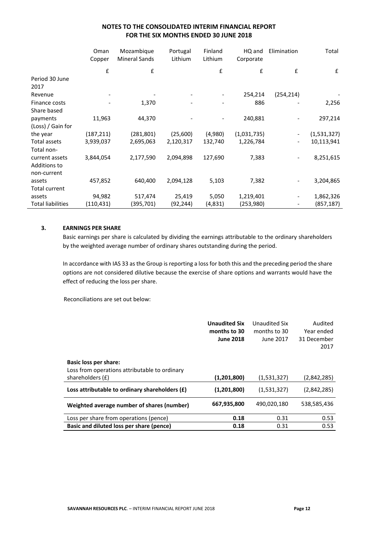|                          | Oman<br>Copper | Mozambique<br><b>Mineral Sands</b> | Portugal<br>Lithium | Finland<br>Lithium | HQ and<br>Corporate | Elimination              | Total       |
|--------------------------|----------------|------------------------------------|---------------------|--------------------|---------------------|--------------------------|-------------|
|                          | £              | £                                  |                     | £                  | £                   | £                        | £           |
| Period 30 June           |                |                                    |                     |                    |                     |                          |             |
| 2017                     |                |                                    |                     |                    |                     |                          |             |
| Revenue                  |                |                                    |                     |                    | 254,214             | (254, 214)               |             |
| Finance costs            |                | 1,370                              |                     |                    | 886                 |                          | 2,256       |
| Share based              |                |                                    |                     |                    |                     |                          |             |
| payments                 | 11,963         | 44,370                             |                     |                    | 240,881             |                          | 297,214     |
| (Loss) / Gain for        |                |                                    |                     |                    |                     |                          |             |
| the year                 | (187, 211)     | (281, 801)                         | (25,600)            | (4,980)            | (1,031,735)         | $\overline{\phantom{a}}$ | (1,531,327) |
| Total assets             | 3,939,037      | 2,695,063                          | 2,120,317           | 132,740            | 1,226,784           | $\overline{\phantom{a}}$ | 10,113,941  |
| Total non-               |                |                                    |                     |                    |                     |                          |             |
| current assets           | 3,844,054      | 2,177,590                          | 2,094,898           | 127,690            | 7,383               | $\overline{\phantom{a}}$ | 8,251,615   |
| Additions to             |                |                                    |                     |                    |                     |                          |             |
| non-current              |                |                                    |                     |                    |                     |                          |             |
| assets                   | 457,852        | 640,400                            | 2,094,128           | 5,103              | 7,382               | $\overline{\phantom{a}}$ | 3,204,865   |
| <b>Total current</b>     |                |                                    |                     |                    |                     |                          |             |
| assets                   | 94,982         | 517,474                            | 25,419              | 5,050              | 1,219,401           |                          | 1,862,326   |
| <b>Total liabilities</b> | (110, 431)     | (395,701)                          | (92, 244)           | (4,831)            | (253,980)           |                          | (857,187)   |

#### **3. EARNINGS PER SHARE**

Basic earnings per share is calculated by dividing the earnings attributable to the ordinary shareholders by the weighted average number of ordinary shares outstanding during the period.

In accordance with IAS 33 as the Group is reporting a loss for both this and the preceding period the share options are not considered dilutive because the exercise of share options and warrants would have the effect of reducing the loss per share.

Reconciliations are set out below:

|                                                  | <b>Unaudited Six</b> | Unaudited Six | Audited     |
|--------------------------------------------------|----------------------|---------------|-------------|
|                                                  | months to 30         | months to 30  | Year ended  |
|                                                  | <b>June 2018</b>     | June 2017     | 31 December |
|                                                  |                      |               | 2017        |
|                                                  |                      |               |             |
| Basic loss per share:                            |                      |               |             |
| Loss from operations attributable to ordinary    |                      |               |             |
| shareholders (£)                                 | (1,201,800)          | (1,531,327)   | (2,842,285) |
| Loss attributable to ordinary shareholders $(f)$ | (1,201,800)          | (1,531,327)   | (2,842,285) |
|                                                  |                      |               |             |
| Weighted average number of shares (number)       | 667,935,800          | 490,020,180   | 538,585,436 |
|                                                  |                      |               |             |
| Loss per share from operations (pence)           | 0.18                 | 0.31          | 0.53        |
| Basic and diluted loss per share (pence)         | 0.18                 | 0.31          | 0.53        |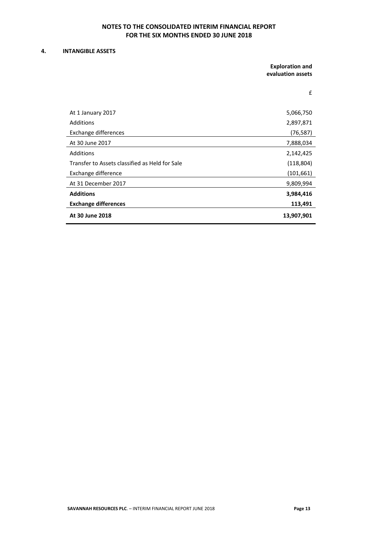#### **4. INTANGIBLE ASSETS**

**Exploration and evaluation assets**

£

| At 1 January 2017                              | 5,066,750  |
|------------------------------------------------|------------|
| Additions                                      | 2,897,871  |
| Exchange differences                           | (76, 587)  |
| At 30 June 2017                                | 7,888,034  |
| Additions                                      | 2,142,425  |
| Transfer to Assets classified as Held for Sale | (118, 804) |
| Exchange difference                            | (101, 661) |
| At 31 December 2017                            | 9,809,994  |
| <b>Additions</b>                               | 3,984,416  |
| <b>Exchange differences</b>                    | 113,491    |
| At 30 June 2018                                | 13,907,901 |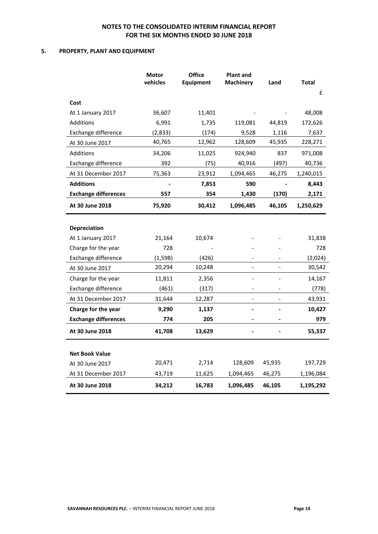#### **5. PROPERTY, PLANT AND EQUIPMENT**

|                             | <b>Motor</b><br>vehicles | <b>Office</b><br>Equipment | <b>Plant and</b><br><b>Machinery</b> | Land   | <b>Total</b> |
|-----------------------------|--------------------------|----------------------------|--------------------------------------|--------|--------------|
|                             |                          |                            |                                      |        | £            |
| Cost                        |                          |                            |                                      |        |              |
| At 1 January 2017           | 36,607                   | 11,401                     |                                      |        | 48,008       |
| <b>Additions</b>            | 6,991                    | 1,735                      | 119,081                              | 44,819 | 172,626      |
| Exchange difference         | (2,833)                  | (174)                      | 9,528                                | 1,116  | 7,637        |
| At 30 June 2017             | 40,765                   | 12,962                     | 128,609                              | 45,935 | 228,271      |
| <b>Additions</b>            | 34,206                   | 11,025                     | 924,940                              | 837    | 971,008      |
| Exchange difference         | 392                      | (75)                       | 40,916                               | (497)  | 40,736       |
| At 31 December 2017         | 75,363                   | 23,912                     | 1,094,465                            | 46,275 | 1,240,015    |
| <b>Additions</b>            |                          | 7,853                      | 590                                  |        | 8,443        |
| <b>Exchange differences</b> | 557                      | 354                        | 1,430                                | (170)  | 2,171        |
| At 30 June 2018             | 75,920                   | 30,412                     | 1,096,485                            | 46,105 | 1,250,629    |
|                             |                          |                            |                                      |        |              |
| Depreciation                |                          |                            |                                      |        |              |
| At 1 January 2017           | 21,164                   | 10,674                     |                                      |        | 31,838       |
| Charge for the year         | 728                      |                            |                                      |        | 728          |
| Exchange difference         | (1, 598)                 | (426)                      |                                      |        | (2,024)      |
| At 30 June 2017             | 20,294                   | 10,248                     | $\frac{1}{2}$                        |        | 30,542       |
| Charge for the year         | 11,811                   | 2,356                      | $\overline{a}$                       |        | 14,167       |
| Exchange difference         | (461)                    | (317)                      |                                      |        | (778)        |
| At 31 December 2017         | 31,644                   | 12,287                     |                                      |        | 43,931       |
| Charge for the year         | 9,290                    | 1,137                      | $\blacksquare$                       |        | 10,427       |
| <b>Exchange differences</b> | 774                      | 205                        |                                      |        | 979          |
| At 30 June 2018             | 41,708                   | 13,629                     |                                      |        | 55,337       |
| <b>Net Book Value</b>       |                          |                            |                                      |        |              |
| At 30 June 2017             | 20,471                   | 2,714                      | 128,609                              | 45,935 | 197,729      |
| At 31 December 2017         | 43,719                   | 11,625                     | 1,094,465                            | 46,275 | 1,196,084    |
| At 30 June 2018             | 34,212                   | 16,783                     | 1,096,485                            | 46,105 | 1,195,292    |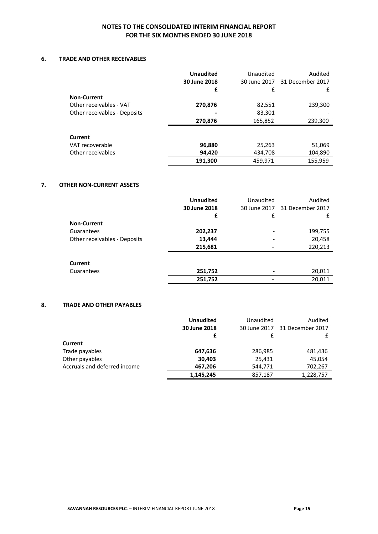#### **6. TRADE AND OTHER RECEIVABLES**

|                              | <b>Unaudited</b><br>30 June 2018 | Unaudited | Audited<br>30 June 2017 31 December 2017 |
|------------------------------|----------------------------------|-----------|------------------------------------------|
|                              | £                                | £         | £                                        |
| <b>Non-Current</b>           |                                  |           |                                          |
| Other receivables - VAT      | 270,876                          | 82,551    | 239,300                                  |
| Other receivables - Deposits |                                  | 83,301    |                                          |
|                              | 270,876                          | 165,852   | 239,300                                  |
| <b>Current</b>               |                                  |           |                                          |
| VAT recoverable              | 96,880                           | 25,263    | 51,069                                   |
| Other receivables            | 94,420                           | 434,708   | 104,890                                  |
|                              | 191,300                          | 459,971   | 155,959                                  |

#### **7. OTHER NON-CURRENT ASSETS**

|                              | <b>Unaudited</b> | Unaudited | Audited                       |
|------------------------------|------------------|-----------|-------------------------------|
|                              | 30 June 2018     |           | 30 June 2017 31 December 2017 |
|                              | £                | £         |                               |
| <b>Non-Current</b>           |                  |           |                               |
| Guarantees                   | 202,237          |           | 199,755                       |
| Other receivables - Deposits | 13,444           |           | 20,458                        |
|                              | 215,681          |           | 220,213                       |
|                              |                  |           |                               |
| <b>Current</b>               |                  |           |                               |
| Guarantees                   | 251,752          |           | 20,011                        |
|                              | 251,752          |           | 20,011                        |
|                              |                  |           |                               |

#### **8. TRADE AND OTHER PAYABLES**

|                              | <b>Unaudited</b> | Unaudited    | Audited          |
|------------------------------|------------------|--------------|------------------|
|                              | 30 June 2018     | 30 June 2017 | 31 December 2017 |
|                              |                  |              |                  |
| <b>Current</b>               |                  |              |                  |
| Trade payables               | 647,636          | 286,985      | 481,436          |
| Other payables               | 30,403           | 25,431       | 45,054           |
| Accruals and deferred income | 467,206          | 544,771      | 702,267          |
|                              | 1,145,245        | 857,187      | 1,228,757        |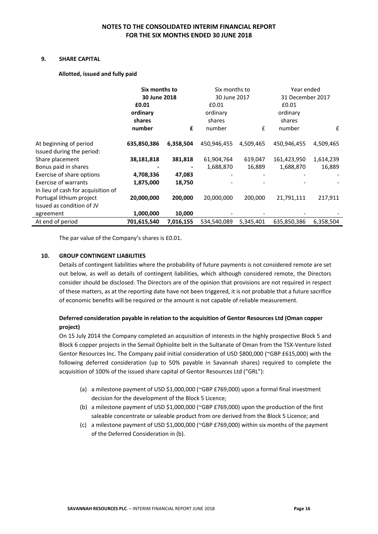#### **9. SHARE CAPITAL**

#### **Allotted, issued and fully paid**

|                                                     | Six months to<br>30 June 2018<br>£0.01<br>ordinary |           | Six months to<br>30 June 2017<br>£0.01<br>ordinary |           | Year ended<br>31 December 2017<br>£0.01<br>ordinary |           |
|-----------------------------------------------------|----------------------------------------------------|-----------|----------------------------------------------------|-----------|-----------------------------------------------------|-----------|
|                                                     | shares<br>number                                   | £         | shares<br>number                                   | £         | shares<br>number                                    | £         |
| At beginning of period<br>Issued during the period: | 635,850,386                                        | 6,358,504 | 450,946,455                                        | 4,509,465 | 450,946,455                                         | 4,509,465 |
| Share placement                                     | 38,181,818                                         | 381,818   | 61,904,764                                         | 619,047   | 161,423,950                                         | 1,614,239 |
| Bonus paid in shares                                |                                                    |           | 1,688,870                                          | 16,889    | 1,688,870                                           | 16,889    |
| Exercise of share options                           | 4,708,336                                          | 47,083    |                                                    |           |                                                     |           |
| <b>Exercise of warrants</b>                         | 1,875,000                                          | 18,750    |                                                    |           |                                                     |           |
| In lieu of cash for acquisition of                  |                                                    |           |                                                    |           |                                                     |           |
| Portugal lithium project                            | 20,000,000                                         | 200,000   | 20,000,000                                         | 200,000   | 21,791,111                                          | 217,911   |
| Issued as condition of JV                           |                                                    |           |                                                    |           |                                                     |           |
| agreement                                           | 1,000,000                                          | 10,000    |                                                    |           |                                                     |           |
| At end of period                                    | 701,615,540                                        | 7,016,155 | 534,540,089                                        | 5,345,401 | 635,850,386                                         | 6,358,504 |

The par value of the Company's shares is £0.01.

#### **10. GROUP CONTINGENT LIABILITIES**

Details of contingent liabilities where the probability of future payments is not considered remote are set out below, as well as details of contingent liabilities, which although considered remote, the Directors consider should be disclosed. The Directors are of the opinion that provisions are not required in respect of these matters, as at the reporting date have not been triggered, it is not probable that a future sacrifice of economic benefits will be required or the amount is not capable of reliable measurement.

## **Deferred consideration payable in relation to the acquisition of Gentor Resources Ltd (Oman copper project)**

On 15 July 2014 the Company completed an acquisition of interests in the highly prospective Block 5 and Block 6 copper projects in the Semail Ophiolite belt in the Sultanate of Oman from the TSX-Venture listed Gentor Resources Inc. The Company paid initial consideration of USD \$800,000 (~GBP £615,000) with the following deferred consideration (up to 50% payable in Savannah shares) required to complete the acquisition of 100% of the issued share capital of Gentor Resources Ltd ("GRL"):

- (a) a milestone payment of USD \$1,000,000 (~GBP £769,000) upon a formal final investment decision for the development of the Block 5 Licence;
- (b) a milestone payment of USD \$1,000,000 (~GBP £769,000) upon the production of the first saleable concentrate or saleable product from ore derived from the Block 5 Licence; and
- (c) a milestone payment of USD \$1,000,000 (~GBP £769,000) within six months of the payment of the Deferred Consideration in (b).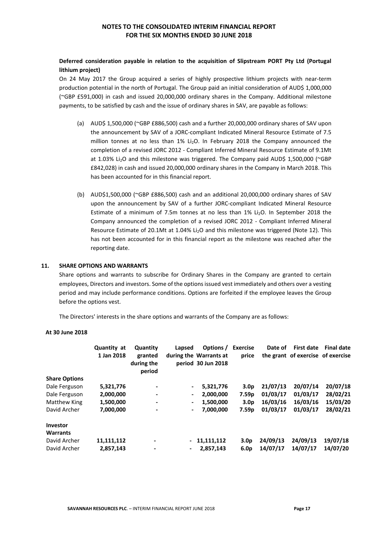## **Deferred consideration payable in relation to the acquisition of Slipstream PORT Pty Ltd (Portugal lithium project)**

On 24 May 2017 the Group acquired a series of highly prospective lithium projects with near-term production potential in the north of Portugal. The Group paid an initial consideration of AUD\$ 1,000,000 (~GBP £591,000) in cash and issued 20,000,000 ordinary shares in the Company. Additional milestone payments, to be satisfied by cash and the issue of ordinary shares in SAV, are payable as follows:

- (a) AUD\$ 1,500,000 (~GBP £886,500) cash and a further 20,000,000 ordinary shares of SAV upon the announcement by SAV of a JORC-compliant Indicated Mineral Resource Estimate of 7.5 million tonnes at no less than 1% Li<sub>2</sub>O. In February 2018 the Company announced the completion of a revised JORC 2012 - Compliant Inferred Mineral Resource Estimate of 9.1Mt at 1.03% Li<sub>2</sub>O and this milestone was triggered. The Company paid AUD\$ 1,500,000 (~GBP £842,028) in cash and issued 20,000,000 ordinary shares in the Company in March 2018. This has been accounted for in this financial report.
- (b) AUD\$1,500,000 (~GBP £886,500) cash and an additional 20,000,000 ordinary shares of SAV upon the announcement by SAV of a further JORC-compliant Indicated Mineral Resource Estimate of a minimum of 7.5m tonnes at no less than  $1\%$  Li<sub>2</sub>O. In September 2018 the Company announced the completion of a revised JORC 2012 - Compliant Inferred Mineral Resource Estimate of 20.1Mt at 1.04% Li2O and this milestone was triggered (Note 12). This has not been accounted for in this financial report as the milestone was reached after the reporting date.

#### **11. SHARE OPTIONS AND WARRANTS**

Share options and warrants to subscribe for Ordinary Shares in the Company are granted to certain employees, Directors and investors. Some of the options issued vest immediately and others over a vesting period and may include performance conditions. Options are forfeited if the employee leaves the Group before the options vest.

The Directors' interests in the share options and warrants of the Company are as follows:

#### **At 30 June 2018**

|                      | Quantity at<br>1 Jan 2018 | Quantity<br>granted<br>during the<br>period | Lapsed                   | Options /<br>during the Warrants at<br>period 30 Jun 2018 | <b>Exercise</b><br>price | Date of  | <b>First date</b><br>the grant of exercise of exercise | <b>Final date</b> |
|----------------------|---------------------------|---------------------------------------------|--------------------------|-----------------------------------------------------------|--------------------------|----------|--------------------------------------------------------|-------------------|
| <b>Share Options</b> |                           |                                             |                          |                                                           |                          |          |                                                        |                   |
| Dale Ferguson        | 5,321,776                 | ۰                                           |                          | 5,321,776                                                 | 3.0 <sub>p</sub>         | 21/07/13 | 20/07/14                                               | 20/07/18          |
| Dale Ferguson        | 2,000,000                 | ۰                                           | $\overline{\phantom{a}}$ | 2,000,000                                                 | 7.59 <sub>p</sub>        | 01/03/17 | 01/03/17                                               | 28/02/21          |
| <b>Matthew King</b>  | 1,500,000                 | ۰                                           | $\blacksquare$           | 1.500.000                                                 | 3.0 <sub>D</sub>         | 16/03/16 | 16/03/16                                               | 15/03/20          |
| David Archer         | 7,000,000                 |                                             | $\blacksquare$           | 7,000,000                                                 | 7.59 <sub>p</sub>        | 01/03/17 | 01/03/17                                               | 28/02/21          |
| Investor             |                           |                                             |                          |                                                           |                          |          |                                                        |                   |
| <b>Warrants</b>      |                           |                                             |                          |                                                           |                          |          |                                                        |                   |
| David Archer         | 11,111,112                | $\blacksquare$                              |                          | $-11,111,112$                                             | 3.0 <sub>p</sub>         | 24/09/13 | 24/09/13                                               | 19/07/18          |
| David Archer         | 2,857,143                 | $\overline{\phantom{a}}$                    | $\blacksquare$           | 2.857.143                                                 | 6.0 <sub>p</sub>         | 14/07/17 | 14/07/17                                               | 14/07/20          |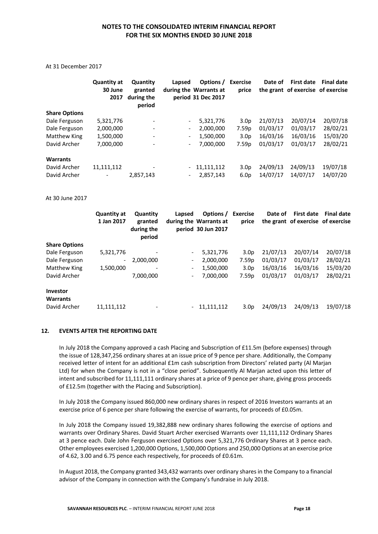At 31 December 2017

|                      | Quantity at<br>30 June<br>2017 | Quantity<br>granted<br>during the<br>period | Lapsed                       | Options /<br>during the Warrants at<br>period 31 Dec 2017 | <b>Exercise</b><br>price | Date of  | First date<br>the grant of exercise of exercise | <b>Final date</b> |
|----------------------|--------------------------------|---------------------------------------------|------------------------------|-----------------------------------------------------------|--------------------------|----------|-------------------------------------------------|-------------------|
| <b>Share Options</b> |                                |                                             |                              |                                                           |                          |          |                                                 |                   |
| Dale Ferguson        | 5,321,776                      | $\overline{\phantom{a}}$                    | $\overline{\phantom{a}}$     | 5,321,776                                                 | 3.0 <sub>p</sub>         | 21/07/13 | 20/07/14                                        | 20/07/18          |
| Dale Ferguson        | 2,000,000                      | $\qquad \qquad \blacksquare$                | $\overline{\phantom{a}}$     | 2,000,000                                                 | 7.59 <sub>p</sub>        | 01/03/17 | 01/03/17                                        | 28/02/21          |
| Matthew King         | 1,500,000                      | $\overline{\phantom{a}}$                    | $\overline{\phantom{a}}$     | 1,500,000                                                 | 3.0 <sub>p</sub>         | 16/03/16 | 16/03/16                                        | 15/03/20          |
| David Archer         | 7,000,000                      |                                             | $\qquad \qquad \blacksquare$ | 7,000,000                                                 | 7.59 <sub>p</sub>        | 01/03/17 | 01/03/17                                        | 28/02/21          |
| <b>Warrants</b>      |                                |                                             |                              |                                                           |                          |          |                                                 |                   |
| David Archer         | 11,111,112                     |                                             | $\overline{\phantom{a}}$     | 11,111,112                                                | 3.0 <sub>p</sub>         | 24/09/13 | 24/09/13                                        | 19/07/18          |
| David Archer         |                                | 2,857,143                                   | $\qquad \qquad \blacksquare$ | 2,857,143                                                 | 6.0 <sub>p</sub>         | 14/07/17 | 14/07/17                                        | 14/07/20          |

At 30 June 2017

|                             | <b>Quantity at</b><br>1 Jan 2017 | Quantity<br>granted<br>during the<br>period | Lapsed                   | Options /<br>during the Warrants at<br>period 30 Jun 2017 | <b>Exercise</b><br>price | Date of  | <b>First date</b><br>the grant of exercise of exercise | <b>Final date</b> |
|-----------------------------|----------------------------------|---------------------------------------------|--------------------------|-----------------------------------------------------------|--------------------------|----------|--------------------------------------------------------|-------------------|
| <b>Share Options</b>        |                                  |                                             |                          |                                                           |                          |          |                                                        |                   |
| Dale Ferguson               | 5,321,776                        | $\overline{\phantom{a}}$                    |                          | 5,321,776                                                 | 3.0 <sub>p</sub>         | 21/07/13 | 20/07/14                                               | 20/07/18          |
| Dale Ferguson               | $\overline{\phantom{a}}$         | 2,000,000                                   | $\overline{\phantom{0}}$ | 2,000,000                                                 | 7.59 <sub>p</sub>        | 01/03/17 | 01/03/17                                               | 28/02/21          |
| Matthew King                | 1,500,000                        | $\overline{\phantom{a}}$                    | Ξ.                       | 1,500,000                                                 | 3.0 <sub>p</sub>         | 16/03/16 | 16/03/16                                               | 15/03/20          |
| David Archer                |                                  | 7,000,000                                   | -                        | 7,000,000                                                 | 7.59 <sub>p</sub>        | 01/03/17 | 01/03/17                                               | 28/02/21          |
| Investor<br><b>Warrants</b> |                                  |                                             |                          |                                                           |                          |          |                                                        |                   |
| David Archer                | 11,111,112                       |                                             |                          | 11,111,112                                                | 3.0 <sub>p</sub>         | 24/09/13 | 24/09/13                                               | 19/07/18          |

#### **12. EVENTS AFTER THE REPORTING DATE**

In July 2018 the Company approved a cash Placing and Subscription of £11.5m (before expenses) through the issue of 128,347,256 ordinary shares at an issue price of 9 pence per share. Additionally, the Company received letter of intent for an additional £1m cash subscription from Directors' related party (Al Marjan Ltd) for when the Company is not in a "close period". Subsequently Al Marjan acted upon this letter of intent and subscribed for 11,111,111 ordinary shares at a price of 9 pence per share, giving gross proceeds of £12.5m (together with the Placing and Subscription).

In July 2018 the Company issued 860,000 new ordinary shares in respect of 2016 Investors warrants at an exercise price of 6 pence per share following the exercise of warrants, for proceeds of £0.05m.

In July 2018 the Company issued 19,382,888 new ordinary shares following the exercise of options and warrants over Ordinary Shares. David Stuart Archer exercised Warrants over 11,111,112 Ordinary Shares at 3 pence each. Dale John Ferguson exercised Options over 5,321,776 Ordinary Shares at 3 pence each. Other employees exercised 1,200,000 Options, 1,500,000 Options and 250,000 Options at an exercise price of 4.62, 3.00 and 6.75 pence each respectively, for proceeds of £0.61m.

In August 2018, the Company granted 343,432 warrants over ordinary shares in the Company to a financial advisor of the Company in connection with the Company's fundraise in July 2018.